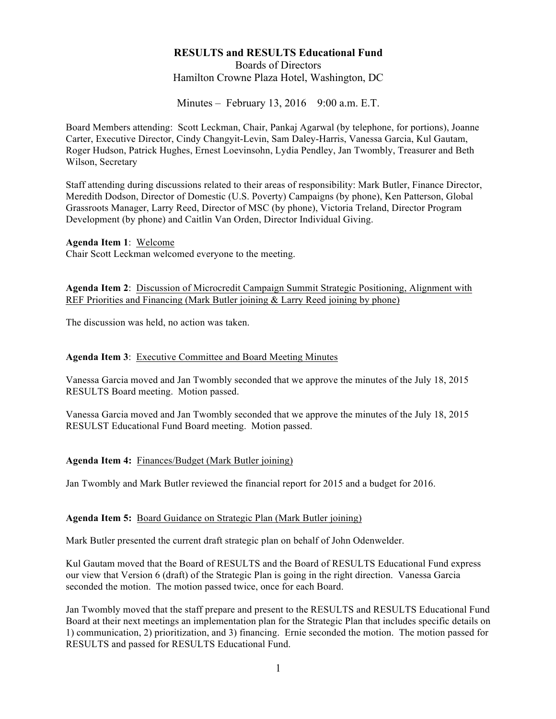# **RESULTS and RESULTS Educational Fund**  Boards of Directors Hamilton Crowne Plaza Hotel, Washington, DC

Minutes – February 13, 2016 9:00 a.m. E.T.

Board Members attending: Scott Leckman, Chair, Pankaj Agarwal (by telephone, for portions), Joanne Carter, Executive Director, Cindy Changyit-Levin, Sam Daley-Harris, Vanessa Garcia, Kul Gautam, Roger Hudson, Patrick Hughes, Ernest Loevinsohn, Lydia Pendley, Jan Twombly, Treasurer and Beth Wilson, Secretary

Staff attending during discussions related to their areas of responsibility: Mark Butler, Finance Director, Meredith Dodson, Director of Domestic (U.S. Poverty) Campaigns (by phone), Ken Patterson, Global Grassroots Manager, Larry Reed, Director of MSC (by phone), Victoria Treland, Director Program Development (by phone) and Caitlin Van Orden, Director Individual Giving.

**Agenda Item 1**: Welcome

Chair Scott Leckman welcomed everyone to the meeting.

**Agenda Item 2**: Discussion of Microcredit Campaign Summit Strategic Positioning, Alignment with REF Priorities and Financing (Mark Butler joining & Larry Reed joining by phone)

The discussion was held, no action was taken.

#### **Agenda Item 3**: Executive Committee and Board Meeting Minutes

Vanessa Garcia moved and Jan Twombly seconded that we approve the minutes of the July 18, 2015 RESULTS Board meeting. Motion passed.

Vanessa Garcia moved and Jan Twombly seconded that we approve the minutes of the July 18, 2015 RESULST Educational Fund Board meeting. Motion passed.

#### **Agenda Item 4:** Finances/Budget (Mark Butler joining)

Jan Twombly and Mark Butler reviewed the financial report for 2015 and a budget for 2016.

#### **Agenda Item 5:** Board Guidance on Strategic Plan (Mark Butler joining)

Mark Butler presented the current draft strategic plan on behalf of John Odenwelder.

Kul Gautam moved that the Board of RESULTS and the Board of RESULTS Educational Fund express our view that Version 6 (draft) of the Strategic Plan is going in the right direction. Vanessa Garcia seconded the motion. The motion passed twice, once for each Board.

Jan Twombly moved that the staff prepare and present to the RESULTS and RESULTS Educational Fund Board at their next meetings an implementation plan for the Strategic Plan that includes specific details on 1) communication, 2) prioritization, and 3) financing. Ernie seconded the motion. The motion passed for RESULTS and passed for RESULTS Educational Fund.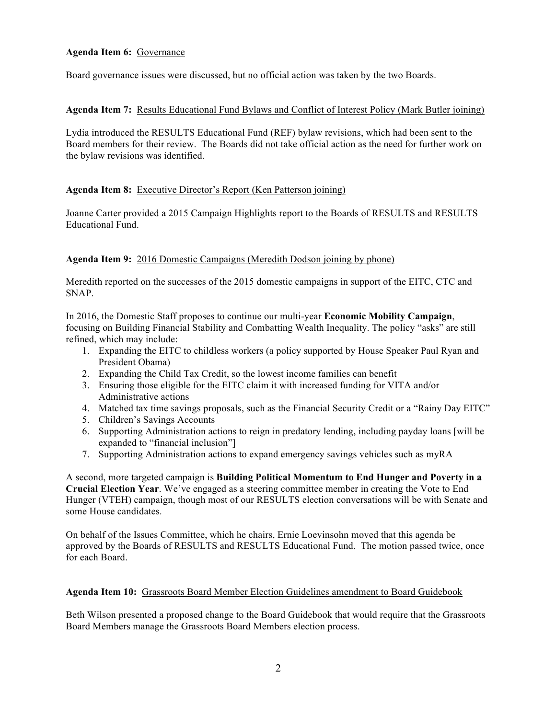# **Agenda Item 6:** Governance

Board governance issues were discussed, but no official action was taken by the two Boards.

# **Agenda Item 7:** Results Educational Fund Bylaws and Conflict of Interest Policy (Mark Butler joining)

Lydia introduced the RESULTS Educational Fund (REF) bylaw revisions, which had been sent to the Board members for their review. The Boards did not take official action as the need for further work on the bylaw revisions was identified.

# **Agenda Item 8:** Executive Director's Report (Ken Patterson joining)

Joanne Carter provided a 2015 Campaign Highlights report to the Boards of RESULTS and RESULTS Educational Fund.

# **Agenda Item 9:** 2016 Domestic Campaigns (Meredith Dodson joining by phone)

Meredith reported on the successes of the 2015 domestic campaigns in support of the EITC, CTC and SNAP.

In 2016, the Domestic Staff proposes to continue our multi-year **Economic Mobility Campaign**, focusing on Building Financial Stability and Combatting Wealth Inequality. The policy "asks" are still refined, which may include:

- 1. Expanding the EITC to childless workers (a policy supported by House Speaker Paul Ryan and President Obama)
- 2. Expanding the Child Tax Credit, so the lowest income families can benefit
- 3. Ensuring those eligible for the EITC claim it with increased funding for VITA and/or Administrative actions
- 4. Matched tax time savings proposals, such as the Financial Security Credit or a "Rainy Day EITC"
- 5. Children's Savings Accounts
- 6. Supporting Administration actions to reign in predatory lending, including payday loans [will be expanded to "financial inclusion"]
- 7. Supporting Administration actions to expand emergency savings vehicles such as myRA

A second, more targeted campaign is **Building Political Momentum to End Hunger and Poverty in a Crucial Election Year**. We've engaged as a steering committee member in creating the Vote to End Hunger (VTEH) campaign, though most of our RESULTS election conversations will be with Senate and some House candidates.

On behalf of the Issues Committee, which he chairs, Ernie Loevinsohn moved that this agenda be approved by the Boards of RESULTS and RESULTS Educational Fund. The motion passed twice, once for each Board.

### **Agenda Item 10:** Grassroots Board Member Election Guidelines amendment to Board Guidebook

Beth Wilson presented a proposed change to the Board Guidebook that would require that the Grassroots Board Members manage the Grassroots Board Members election process.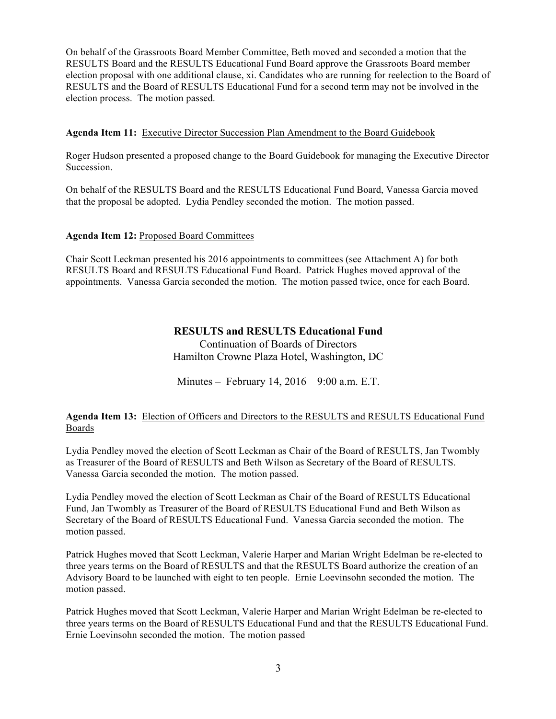On behalf of the Grassroots Board Member Committee, Beth moved and seconded a motion that the RESULTS Board and the RESULTS Educational Fund Board approve the Grassroots Board member election proposal with one additional clause, xi. Candidates who are running for reelection to the Board of RESULTS and the Board of RESULTS Educational Fund for a second term may not be involved in the election process. The motion passed.

# **Agenda Item 11:** Executive Director Succession Plan Amendment to the Board Guidebook

Roger Hudson presented a proposed change to the Board Guidebook for managing the Executive Director Succession.

On behalf of the RESULTS Board and the RESULTS Educational Fund Board, Vanessa Garcia moved that the proposal be adopted. Lydia Pendley seconded the motion. The motion passed.

### **Agenda Item 12:** Proposed Board Committees

Chair Scott Leckman presented his 2016 appointments to committees (see Attachment A) for both RESULTS Board and RESULTS Educational Fund Board. Patrick Hughes moved approval of the appointments. Vanessa Garcia seconded the motion. The motion passed twice, once for each Board.

# **RESULTS and RESULTS Educational Fund**

Continuation of Boards of Directors Hamilton Crowne Plaza Hotel, Washington, DC

Minutes – February 14, 2016 9:00 a.m. E.T.

# **Agenda Item 13:** Election of Officers and Directors to the RESULTS and RESULTS Educational Fund Boards

Lydia Pendley moved the election of Scott Leckman as Chair of the Board of RESULTS, Jan Twombly as Treasurer of the Board of RESULTS and Beth Wilson as Secretary of the Board of RESULTS. Vanessa Garcia seconded the motion. The motion passed.

Lydia Pendley moved the election of Scott Leckman as Chair of the Board of RESULTS Educational Fund, Jan Twombly as Treasurer of the Board of RESULTS Educational Fund and Beth Wilson as Secretary of the Board of RESULTS Educational Fund. Vanessa Garcia seconded the motion. The motion passed.

Patrick Hughes moved that Scott Leckman, Valerie Harper and Marian Wright Edelman be re-elected to three years terms on the Board of RESULTS and that the RESULTS Board authorize the creation of an Advisory Board to be launched with eight to ten people. Ernie Loevinsohn seconded the motion. The motion passed.

Patrick Hughes moved that Scott Leckman, Valerie Harper and Marian Wright Edelman be re-elected to three years terms on the Board of RESULTS Educational Fund and that the RESULTS Educational Fund. Ernie Loevinsohn seconded the motion. The motion passed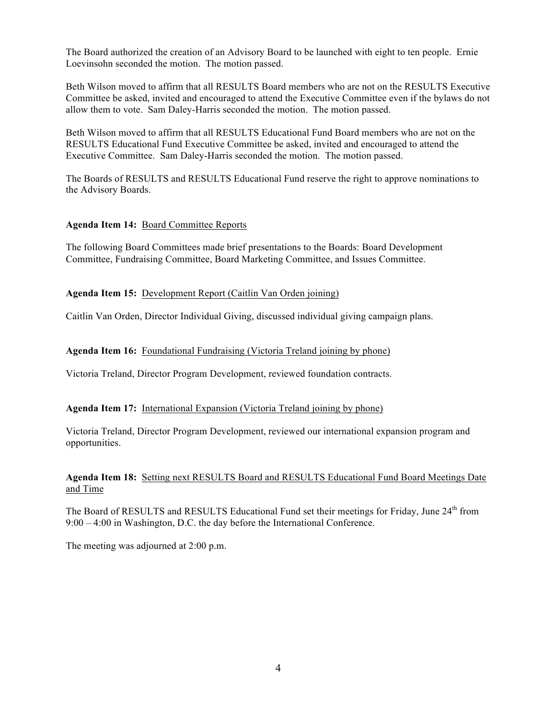The Board authorized the creation of an Advisory Board to be launched with eight to ten people. Ernie Loevinsohn seconded the motion. The motion passed.

Beth Wilson moved to affirm that all RESULTS Board members who are not on the RESULTS Executive Committee be asked, invited and encouraged to attend the Executive Committee even if the bylaws do not allow them to vote. Sam Daley-Harris seconded the motion. The motion passed.

Beth Wilson moved to affirm that all RESULTS Educational Fund Board members who are not on the RESULTS Educational Fund Executive Committee be asked, invited and encouraged to attend the Executive Committee. Sam Daley-Harris seconded the motion. The motion passed.

The Boards of RESULTS and RESULTS Educational Fund reserve the right to approve nominations to the Advisory Boards.

# **Agenda Item 14:** Board Committee Reports

The following Board Committees made brief presentations to the Boards: Board Development Committee, Fundraising Committee, Board Marketing Committee, and Issues Committee.

#### **Agenda Item 15:** Development Report (Caitlin Van Orden joining)

Caitlin Van Orden, Director Individual Giving, discussed individual giving campaign plans.

#### **Agenda Item 16:** Foundational Fundraising (Victoria Treland joining by phone)

Victoria Treland, Director Program Development, reviewed foundation contracts.

#### **Agenda Item 17:** International Expansion (Victoria Treland joining by phone)

Victoria Treland, Director Program Development, reviewed our international expansion program and opportunities.

### **Agenda Item 18:** Setting next RESULTS Board and RESULTS Educational Fund Board Meetings Date and Time

The Board of RESULTS and RESULTS Educational Fund set their meetings for Friday, June 24<sup>th</sup> from 9:00 – 4:00 in Washington, D.C. the day before the International Conference.

The meeting was adjourned at 2:00 p.m.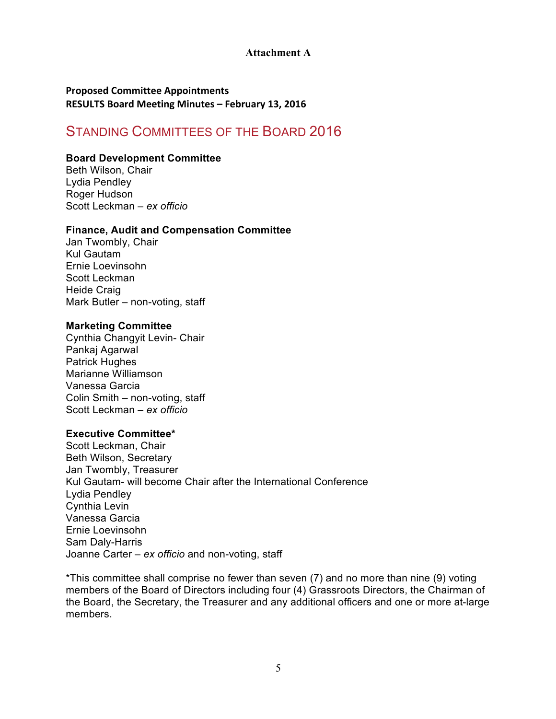# **Attachment A**

# **Proposed Committee Appointments RESULTS Board Meeting Minutes – February 13, 2016**

# STANDING COMMITTEES OF THE BOARD 2016

# **Board Development Committee**

Beth Wilson, Chair Lydia Pendley Roger Hudson Scott Leckman – *ex officio* 

# **Finance, Audit and Compensation Committee**

Jan Twombly, Chair Kul Gautam Ernie Loevinsohn Scott Leckman Heide Craig Mark Butler – non-voting, staff

### **Marketing Committee**

Cynthia Changyit Levin- Chair Pankaj Agarwal Patrick Hughes Marianne Williamson Vanessa Garcia Colin Smith – non-voting, staff Scott Leckman – *ex officio* 

## **Executive Committee\***

Scott Leckman, Chair Beth Wilson, Secretary Jan Twombly, Treasurer Kul Gautam- will become Chair after the International Conference Lydia Pendley Cynthia Levin Vanessa Garcia Ernie Loevinsohn Sam Daly-Harris Joanne Carter – *ex officio* and non-voting, staff

\*This committee shall comprise no fewer than seven (7) and no more than nine (9) voting members of the Board of Directors including four (4) Grassroots Directors, the Chairman of the Board, the Secretary, the Treasurer and any additional officers and one or more at-large members.